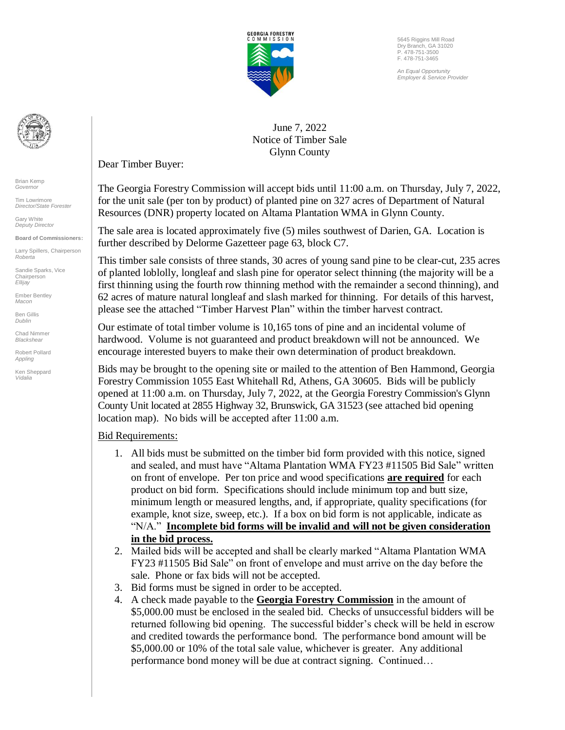

5645 Riggins Mill Road Dry Branch, GA 31020 P. 478-751-3500 F. 478-751-3465

*An Equal Opportunity Employer & Service Provider*



Brian Kemp *Governor*

Tim Lowrimore *Director/State Forester*

Gary White *Deputy Director*

**Board of Commissioners:** Larry Spillers, Chairperson

*Roberta* Sandie Sparks, Vice

Chairperson *Ellijay* Ember Bentley

*Macon* Ben Gillis *Dublin*

Chad Nimmer *Blackshear* 

Robert Pollard *Appling*

Ken Sheppard *Vidalia* 

June 7, 2022 Notice of Timber Sale Glynn County

Dear Timber Buyer:

The Georgia Forestry Commission will accept bids until 11:00 a.m. on Thursday, July 7, 2022, for the unit sale (per ton by product) of planted pine on 327 acres of Department of Natural Resources (DNR) property located on Altama Plantation WMA in Glynn County.

The sale area is located approximately five (5) miles southwest of Darien, GA. Location is further described by Delorme Gazetteer page 63, block C7.

This timber sale consists of three stands, 30 acres of young sand pine to be clear-cut, 235 acres of planted loblolly, longleaf and slash pine for operator select thinning (the majority will be a first thinning using the fourth row thinning method with the remainder a second thinning), and 62 acres of mature natural longleaf and slash marked for thinning. For details of this harvest, please see the attached "Timber Harvest Plan" within the timber harvest contract.

Our estimate of total timber volume is 10,165 tons of pine and an incidental volume of hardwood. Volume is not guaranteed and product breakdown will not be announced. We encourage interested buyers to make their own determination of product breakdown.

Bids may be brought to the opening site or mailed to the attention of Ben Hammond, Georgia Forestry Commission 1055 East Whitehall Rd, Athens, GA 30605. Bids will be publicly opened at 11:00 a.m. on Thursday, July 7, 2022, at the Georgia Forestry Commission's Glynn County Unit located at 2855 Highway 32, Brunswick, GA 31523 (see attached bid opening location map). No bids will be accepted after 11:00 a.m.

#### Bid Requirements:

- 1. All bids must be submitted on the timber bid form provided with this notice, signed and sealed, and must have "Altama Plantation WMA FY23 #11505 Bid Sale" written on front of envelope. Per ton price and wood specifications **are required** for each product on bid form. Specifications should include minimum top and butt size, minimum length or measured lengths, and, if appropriate, quality specifications (for example, knot size, sweep, etc.). If a box on bid form is not applicable, indicate as "N/A." **Incomplete bid forms will be invalid and will not be given consideration in the bid process.**
- 2. Mailed bids will be accepted and shall be clearly marked "Altama Plantation WMA FY23 #11505 Bid Sale" on front of envelope and must arrive on the day before the sale. Phone or fax bids will not be accepted.
- 3. Bid forms must be signed in order to be accepted.
- 4. A check made payable to the **Georgia Forestry Commission** in the amount of \$5,000.00 must be enclosed in the sealed bid. Checks of unsuccessful bidders will be returned following bid opening. The successful bidder's check will be held in escrow and credited towards the performance bond. The performance bond amount will be \$5,000.00 or 10% of the total sale value, whichever is greater. Any additional performance bond money will be due at contract signing. Continued…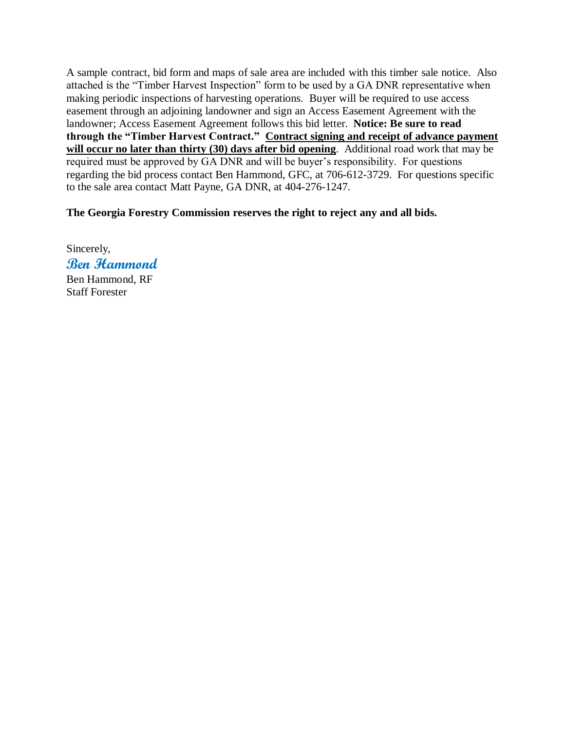A sample contract, bid form and maps of sale area are included with this timber sale notice. Also attached is the "Timber Harvest Inspection" form to be used by a GA DNR representative when making periodic inspections of harvesting operations. Buyer will be required to use access easement through an adjoining landowner and sign an Access Easement Agreement with the landowner; Access Easement Agreement follows this bid letter. **Notice: Be sure to read through the "Timber Harvest Contract." Contract signing and receipt of advance payment**  will occur no later than thirty (30) days after bid opening. Additional road work that may be required must be approved by GA DNR and will be buyer's responsibility. For questions regarding the bid process contact Ben Hammond, GFC, at 706-612-3729. For questions specific to the sale area contact Matt Payne, GA DNR, at 404-276-1247.

#### **The Georgia Forestry Commission reserves the right to reject any and all bids.**

Sincerely, **Ben Hammond** Ben Hammond, RF Staff Forester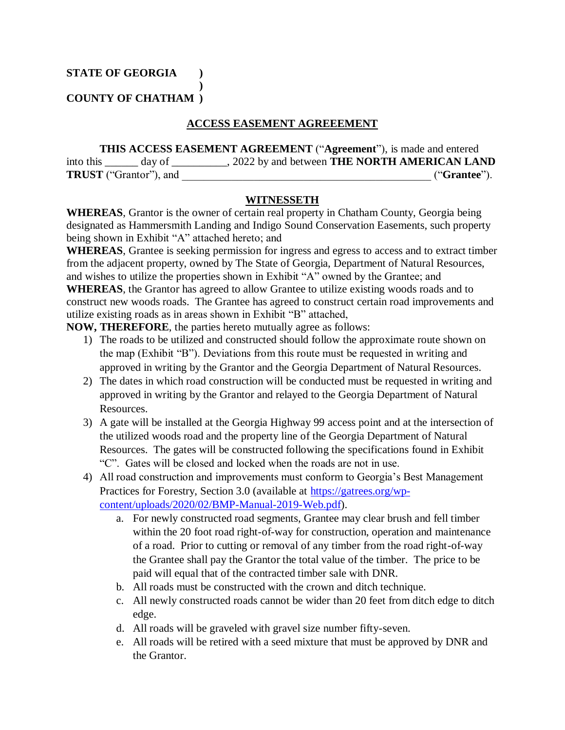**STATE OF GEORGIA )**

**COUNTY OF CHATHAM )**

#### **ACCESS EASEMENT AGREEEMENT**

**THIS ACCESS EASEMENT AGREEMENT** ("**Agreement**"), is made and entered into this \_\_\_\_\_\_ day of \_\_\_\_\_\_\_\_\_\_, 2022 by and between **THE NORTH AMERICAN LAND TRUST** ("Grantor"), and  $($ "Grantee").

#### **WITNESSETH**

**WHEREAS**, Grantor is the owner of certain real property in Chatham County, Georgia being designated as Hammersmith Landing and Indigo Sound Conservation Easements, such property being shown in Exhibit "A" attached hereto; and

**WHEREAS**, Grantee is seeking permission for ingress and egress to access and to extract timber from the adjacent property, owned by The State of Georgia, Department of Natural Resources, and wishes to utilize the properties shown in Exhibit "A" owned by the Grantee; and **WHEREAS**, the Grantor has agreed to allow Grantee to utilize existing woods roads and to construct new woods roads. The Grantee has agreed to construct certain road improvements and utilize existing roads as in areas shown in Exhibit "B" attached,

**NOW, THEREFORE**, the parties hereto mutually agree as follows:

**)**

- 1) The roads to be utilized and constructed should follow the approximate route shown on the map (Exhibit "B"). Deviations from this route must be requested in writing and approved in writing by the Grantor and the Georgia Department of Natural Resources.
- 2) The dates in which road construction will be conducted must be requested in writing and approved in writing by the Grantor and relayed to the Georgia Department of Natural Resources.
- 3) A gate will be installed at the Georgia Highway 99 access point and at the intersection of the utilized woods road and the property line of the Georgia Department of Natural Resources. The gates will be constructed following the specifications found in Exhibit "C". Gates will be closed and locked when the roads are not in use.
- 4) All road construction and improvements must conform to Georgia's Best Management Practices for Forestry, Section 3.0 (available at [https://gatrees.org/wp](https://gatrees.org/wp-content/uploads/2020/02/BMP-Manual-2019-Web.pdf)[content/uploads/2020/02/BMP-Manual-2019-Web.pdf\)](https://gatrees.org/wp-content/uploads/2020/02/BMP-Manual-2019-Web.pdf).
	- a. For newly constructed road segments, Grantee may clear brush and fell timber within the 20 foot road right-of-way for construction, operation and maintenance of a road. Prior to cutting or removal of any timber from the road right-of-way the Grantee shall pay the Grantor the total value of the timber. The price to be paid will equal that of the contracted timber sale with DNR.
	- b. All roads must be constructed with the crown and ditch technique.
	- c. All newly constructed roads cannot be wider than 20 feet from ditch edge to ditch edge.
	- d. All roads will be graveled with gravel size number fifty-seven.
	- e. All roads will be retired with a seed mixture that must be approved by DNR and the Grantor.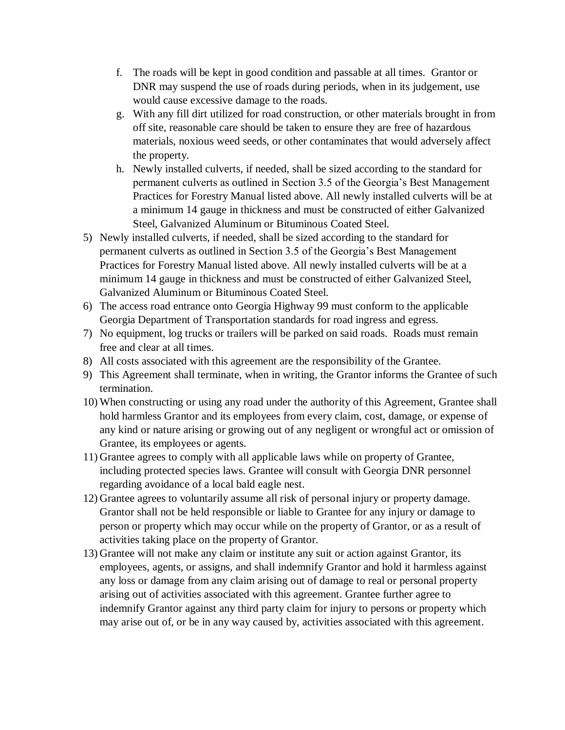- f. The roads will be kept in good condition and passable at all times. Grantor or DNR may suspend the use of roads during periods, when in its judgement, use would cause excessive damage to the roads.
- g. With any fill dirt utilized for road construction, or other materials brought in from off site, reasonable care should be taken to ensure they are free of hazardous materials, noxious weed seeds, or other contaminates that would adversely affect the property.
- h. Newly installed culverts, if needed, shall be sized according to the standard for permanent culverts as outlined in Section 3.5 of the Georgia's Best Management Practices for Forestry Manual listed above. All newly installed culverts will be at a minimum 14 gauge in thickness and must be constructed of either Galvanized Steel, Galvanized Aluminum or Bituminous Coated Steel.
- 5) Newly installed culverts, if needed, shall be sized according to the standard for permanent culverts as outlined in Section 3.5 of the Georgia's Best Management Practices for Forestry Manual listed above. All newly installed culverts will be at a minimum 14 gauge in thickness and must be constructed of either Galvanized Steel, Galvanized Aluminum or Bituminous Coated Steel.
- 6) The access road entrance onto Georgia Highway 99 must conform to the applicable Georgia Department of Transportation standards for road ingress and egress.
- 7) No equipment, log trucks or trailers will be parked on said roads. Roads must remain free and clear at all times.
- 8) All costs associated with this agreement are the responsibility of the Grantee.
- 9) This Agreement shall terminate, when in writing, the Grantor informs the Grantee of such termination.
- 10) When constructing or using any road under the authority of this Agreement, Grantee shall hold harmless Grantor and its employees from every claim, cost, damage, or expense of any kind or nature arising or growing out of any negligent or wrongful act or omission of Grantee, its employees or agents.
- 11) Grantee agrees to comply with all applicable laws while on property of Grantee, including protected species laws. Grantee will consult with Georgia DNR personnel regarding avoidance of a local bald eagle nest.
- 12) Grantee agrees to voluntarily assume all risk of personal injury or property damage. Grantor shall not be held responsible or liable to Grantee for any injury or damage to person or property which may occur while on the property of Grantor, or as a result of activities taking place on the property of Grantor.
- 13) Grantee will not make any claim or institute any suit or action against Grantor, its employees, agents, or assigns, and shall indemnify Grantor and hold it harmless against any loss or damage from any claim arising out of damage to real or personal property arising out of activities associated with this agreement. Grantee further agree to indemnify Grantor against any third party claim for injury to persons or property which may arise out of, or be in any way caused by, activities associated with this agreement.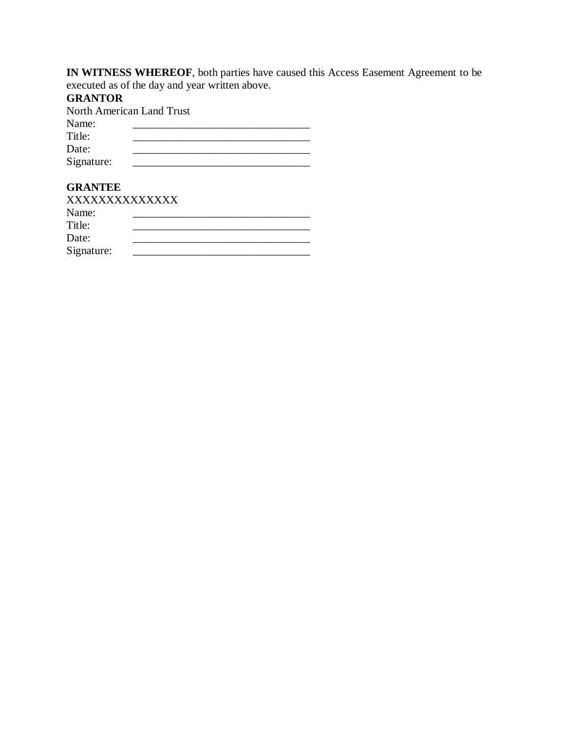**IN WITNESS WHEREOF**, both parties have caused this Access Easement Agreement to be executed as of the day and year written above.

### **GRANTOR**

North American Land Trust

| Name:      |  |
|------------|--|
| Title:     |  |
| Date:      |  |
| Signature: |  |

#### **GRANTEE**

| XXXXXXXXXXXXX |  |  |
|---------------|--|--|
| Name:         |  |  |
| Title:        |  |  |
| Date:         |  |  |
| Signature:    |  |  |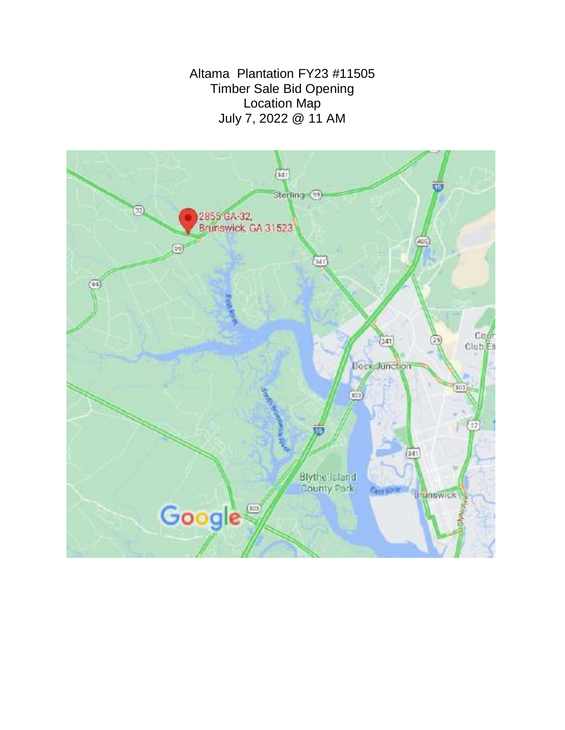Altama Plantation FY23 #11505 Timber Sale Bid Opening Location Map July 7, 2022 @ 11 AM

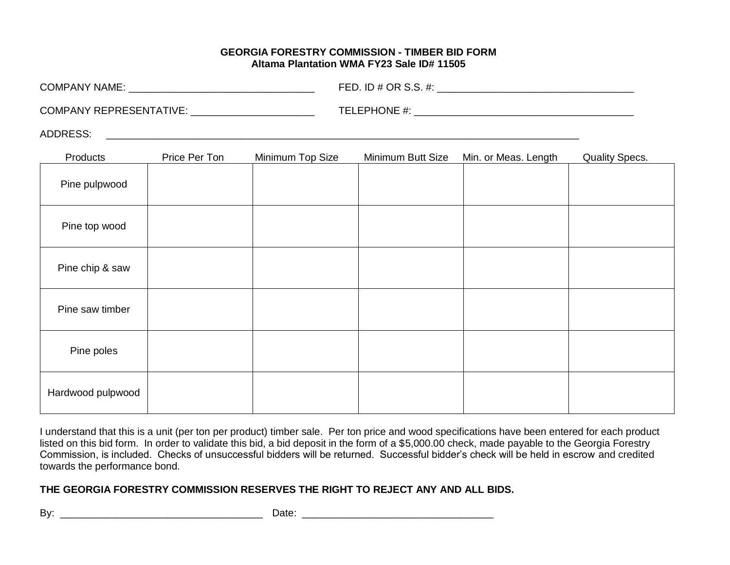#### **GEORGIA FORESTRY COMMISSION - TIMBER BID FORM Altama Plantation WMA FY23 Sale ID# 11505**

| <b>COMPANY NAME:</b>           | FED. ID $\#$ OR S.S. $\#$ : |
|--------------------------------|-----------------------------|
| <b>COMPANY REPRESENTATIVE:</b> | TELEPHONE #:                |
| <b>ADDRESS:</b>                |                             |

| Products          | Price Per Ton | Minimum Top Size | Minimum Butt Size | Min. or Meas. Length | <b>Quality Specs.</b> |
|-------------------|---------------|------------------|-------------------|----------------------|-----------------------|
| Pine pulpwood     |               |                  |                   |                      |                       |
| Pine top wood     |               |                  |                   |                      |                       |
| Pine chip & saw   |               |                  |                   |                      |                       |
| Pine saw timber   |               |                  |                   |                      |                       |
| Pine poles        |               |                  |                   |                      |                       |
| Hardwood pulpwood |               |                  |                   |                      |                       |

I understand that this is a unit (per ton per product) timber sale. Per ton price and wood specifications have been entered for each product listed on this bid form. In order to validate this bid, a bid deposit in the form of a \$5,000.00 check, made payable to the Georgia Forestry Commission, is included. Checks of unsuccessful bidders will be returned. Successful bidder's check will be held in escrow and credited towards the performance bond.

#### **THE GEORGIA FORESTRY COMMISSION RESERVES THE RIGHT TO REJECT ANY AND ALL BIDS.**

| ۰.<br>۰. |  |
|----------|--|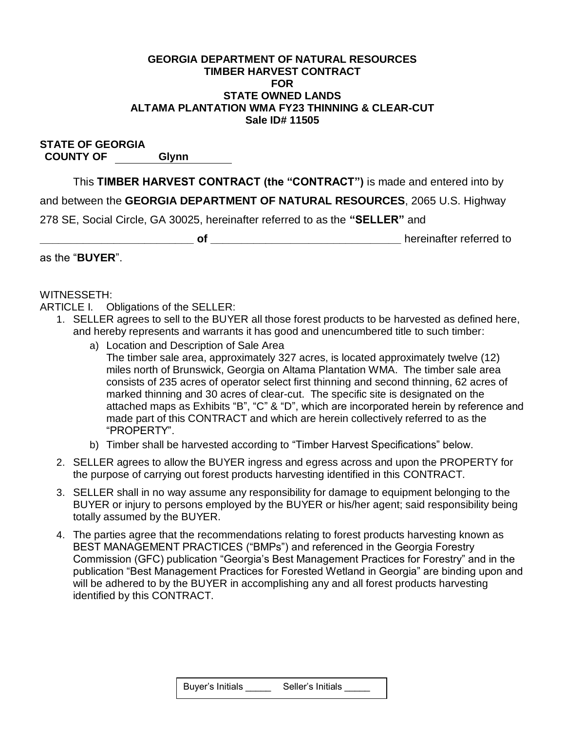#### **GEORGIA DEPARTMENT OF NATURAL RESOURCES TIMBER HARVEST CONTRACT FOR STATE OWNED LANDS ALTAMA PLANTATION WMA FY23 THINNING & CLEAR-CUT Sale ID# 11505**

**STATE OF GEORGIA COUNTY OF Glynn**

This **TIMBER HARVEST CONTRACT (the "CONTRACT")** is made and entered into by

and between the **GEORGIA DEPARTMENT OF NATURAL RESOURCES**, 2065 U.S. Highway

278 SE, Social Circle, GA 30025, hereinafter referred to as the **"SELLER"** and

**of of** *D D D D D D D D D D D D D D D D D D D D D D D D D D D D D D D D D D D*

as the "**BUYER**".

#### WITNESSETH:

ARTICLE I. Obligations of the SELLER:

- 1. SELLER agrees to sell to the BUYER all those forest products to be harvested as defined here, and hereby represents and warrants it has good and unencumbered title to such timber:
	- a) Location and Description of Sale Area The timber sale area, approximately 327 acres, is located approximately twelve (12) miles north of Brunswick, Georgia on Altama Plantation WMA. The timber sale area consists of 235 acres of operator select first thinning and second thinning, 62 acres of marked thinning and 30 acres of clear-cut. The specific site is designated on the attached maps as Exhibits "B", "C" & "D", which are incorporated herein by reference and made part of this CONTRACT and which are herein collectively referred to as the "PROPERTY".
	- b) Timber shall be harvested according to "Timber Harvest Specifications" below.
- 2. SELLER agrees to allow the BUYER ingress and egress across and upon the PROPERTY for the purpose of carrying out forest products harvesting identified in this CONTRACT.
- 3. SELLER shall in no way assume any responsibility for damage to equipment belonging to the BUYER or injury to persons employed by the BUYER or his/her agent; said responsibility being totally assumed by the BUYER.
- 4. The parties agree that the recommendations relating to forest products harvesting known as BEST MANAGEMENT PRACTICES ("BMPs") and referenced in the Georgia Forestry Commission (GFC) publication "Georgia's Best Management Practices for Forestry" and in the publication "Best Management Practices for Forested Wetland in Georgia" are binding upon and will be adhered to by the BUYER in accomplishing any and all forest products harvesting identified by this CONTRACT.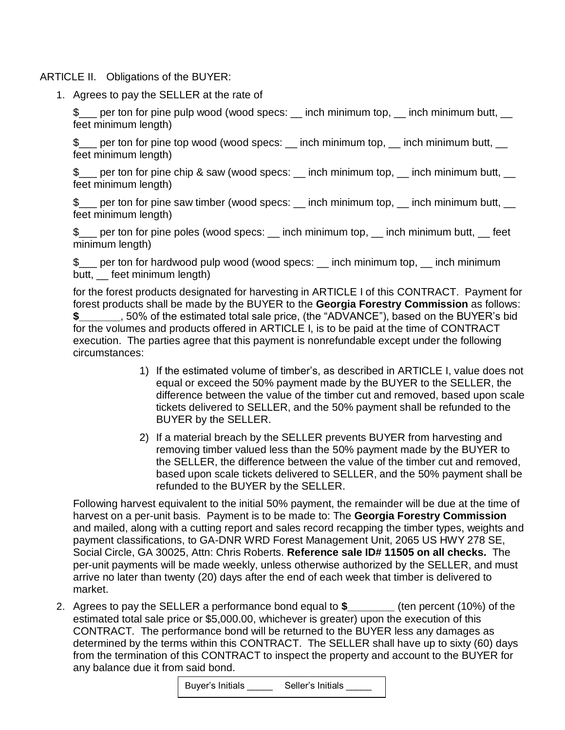ARTICLE II. Obligations of the BUYER:

1. Agrees to pay the SELLER at the rate of

\$ per ton for pine pulp wood (wood specs: \_\_ inch minimum top, \_\_ inch minimum butt, feet minimum length)

\$\_\_\_ per ton for pine top wood (wood specs: \_\_ inch minimum top, \_\_ inch minimum butt, \_\_ feet minimum length)

\$ per ton for pine chip & saw (wood specs: \_\_ inch minimum top, \_\_ inch minimum butt, feet minimum length)

\$\_\_\_ per ton for pine saw timber (wood specs: \_\_ inch minimum top, \_\_ inch minimum butt, \_\_ feet minimum length)

\$\_\_\_ per ton for pine poles (wood specs: \_\_ inch minimum top, \_\_ inch minimum butt, \_\_ feet minimum length)

\$\_\_\_ per ton for hardwood pulp wood (wood specs: \_\_ inch minimum top, \_\_ inch minimum butt, feet minimum length)

for the forest products designated for harvesting in ARTICLE I of this CONTRACT. Payment for forest products shall be made by the BUYER to the **Georgia Forestry Commission** as follows: **\$\_\_\_\_\_\_\_**, 50% of the estimated total sale price, (the "ADVANCE"), based on the BUYER's bid for the volumes and products offered in ARTICLE I, is to be paid at the time of CONTRACT execution. The parties agree that this payment is nonrefundable except under the following circumstances:

- 1) If the estimated volume of timber's, as described in ARTICLE I, value does not equal or exceed the 50% payment made by the BUYER to the SELLER, the difference between the value of the timber cut and removed, based upon scale tickets delivered to SELLER, and the 50% payment shall be refunded to the BUYER by the SELLER.
- 2) If a material breach by the SELLER prevents BUYER from harvesting and removing timber valued less than the 50% payment made by the BUYER to the SELLER, the difference between the value of the timber cut and removed, based upon scale tickets delivered to SELLER, and the 50% payment shall be refunded to the BUYER by the SELLER.

Following harvest equivalent to the initial 50% payment, the remainder will be due at the time of harvest on a per-unit basis. Payment is to be made to: The **Georgia Forestry Commission** and mailed, along with a cutting report and sales record recapping the timber types, weights and payment classifications, to GA-DNR WRD Forest Management Unit, 2065 US HWY 278 SE, Social Circle, GA 30025, Attn: Chris Roberts. **Reference sale ID# 11505 on all checks.** The per-unit payments will be made weekly, unless otherwise authorized by the SELLER, and must arrive no later than twenty (20) days after the end of each week that timber is delivered to market.

2. Agrees to pay the SELLER a performance bond equal to **\$\_\_\_\_\_\_\_\_** (ten percent (10%) of the estimated total sale price or \$5,000.00, whichever is greater) upon the execution of this CONTRACT. The performance bond will be returned to the BUYER less any damages as determined by the terms within this CONTRACT. The SELLER shall have up to sixty (60) days from the termination of this CONTRACT to inspect the property and account to the BUYER for any balance due it from said bond.

| Buyer's Initials | Seller's Initials |
|------------------|-------------------|
|------------------|-------------------|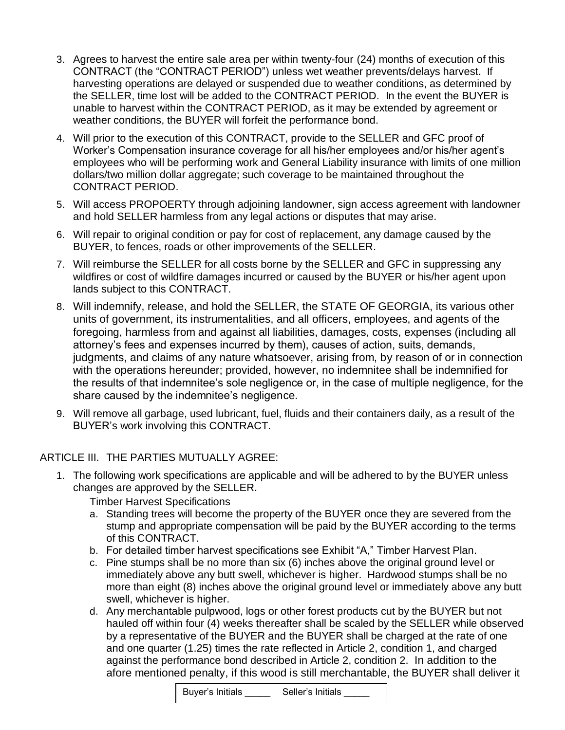- 3. Agrees to harvest the entire sale area per within twenty-four (24) months of execution of this CONTRACT (the "CONTRACT PERIOD") unless wet weather prevents/delays harvest. If harvesting operations are delayed or suspended due to weather conditions, as determined by the SELLER, time lost will be added to the CONTRACT PERIOD. In the event the BUYER is unable to harvest within the CONTRACT PERIOD, as it may be extended by agreement or weather conditions, the BUYER will forfeit the performance bond.
- 4. Will prior to the execution of this CONTRACT, provide to the SELLER and GFC proof of Worker's Compensation insurance coverage for all his/her employees and/or his/her agent's employees who will be performing work and General Liability insurance with limits of one million dollars/two million dollar aggregate; such coverage to be maintained throughout the CONTRACT PERIOD.
- 5. Will access PROPOERTY through adjoining landowner, sign access agreement with landowner and hold SELLER harmless from any legal actions or disputes that may arise.
- 6. Will repair to original condition or pay for cost of replacement, any damage caused by the BUYER, to fences, roads or other improvements of the SELLER.
- 7. Will reimburse the SELLER for all costs borne by the SELLER and GFC in suppressing any wildfires or cost of wildfire damages incurred or caused by the BUYER or his/her agent upon lands subject to this CONTRACT.
- 8. Will indemnify, release, and hold the SELLER, the STATE OF GEORGIA, its various other units of government, its instrumentalities, and all officers, employees, and agents of the foregoing, harmless from and against all liabilities, damages, costs, expenses (including all attorney's fees and expenses incurred by them), causes of action, suits, demands, judgments, and claims of any nature whatsoever, arising from, by reason of or in connection with the operations hereunder; provided, however, no indemnitee shall be indemnified for the results of that indemnitee's sole negligence or, in the case of multiple negligence, for the share caused by the indemnitee's negligence.
- 9. Will remove all garbage, used lubricant, fuel, fluids and their containers daily, as a result of the BUYER's work involving this CONTRACT.

#### ARTICLE III. THE PARTIES MUTUALLY AGREE:

- 1. The following work specifications are applicable and will be adhered to by the BUYER unless changes are approved by the SELLER.
	- Timber Harvest Specifications
	- a. Standing trees will become the property of the BUYER once they are severed from the stump and appropriate compensation will be paid by the BUYER according to the terms of this CONTRACT.
	- b. For detailed timber harvest specifications see Exhibit "A," Timber Harvest Plan.
	- c. Pine stumps shall be no more than six (6) inches above the original ground level or immediately above any butt swell, whichever is higher. Hardwood stumps shall be no more than eight (8) inches above the original ground level or immediately above any butt swell, whichever is higher.
	- d. Any merchantable pulpwood, logs or other forest products cut by the BUYER but not hauled off within four (4) weeks thereafter shall be scaled by the SELLER while observed by a representative of the BUYER and the BUYER shall be charged at the rate of one and one quarter (1.25) times the rate reflected in Article 2, condition 1, and charged against the performance bond described in Article 2, condition 2. In addition to the afore mentioned penalty, if this wood is still merchantable, the BUYER shall deliver it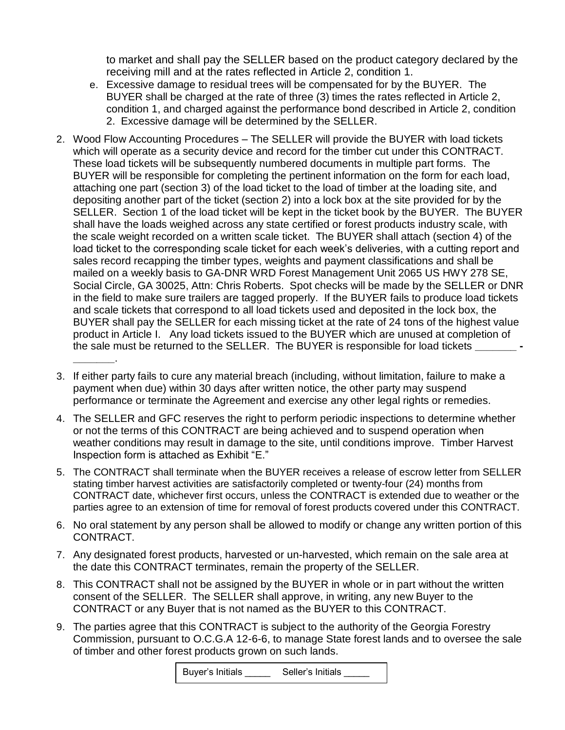to market and shall pay the SELLER based on the product category declared by the receiving mill and at the rates reflected in Article 2, condition 1.

- e. Excessive damage to residual trees will be compensated for by the BUYER. The BUYER shall be charged at the rate of three (3) times the rates reflected in Article 2, condition 1, and charged against the performance bond described in Article 2, condition 2. Excessive damage will be determined by the SELLER.
- 2. Wood Flow Accounting Procedures The SELLER will provide the BUYER with load tickets which will operate as a security device and record for the timber cut under this CONTRACT. These load tickets will be subsequently numbered documents in multiple part forms. The BUYER will be responsible for completing the pertinent information on the form for each load, attaching one part (section 3) of the load ticket to the load of timber at the loading site, and depositing another part of the ticket (section 2) into a lock box at the site provided for by the SELLER. Section 1 of the load ticket will be kept in the ticket book by the BUYER. The BUYER shall have the loads weighed across any state certified or forest products industry scale, with the scale weight recorded on a written scale ticket. The BUYER shall attach (section 4) of the load ticket to the corresponding scale ticket for each week's deliveries, with a cutting report and sales record recapping the timber types, weights and payment classifications and shall be mailed on a weekly basis to GA-DNR WRD Forest Management Unit 2065 US HWY 278 SE, Social Circle, GA 30025, Attn: Chris Roberts. Spot checks will be made by the SELLER or DNR in the field to make sure trailers are tagged properly. If the BUYER fails to produce load tickets and scale tickets that correspond to all load tickets used and deposited in the lock box, the BUYER shall pay the SELLER for each missing ticket at the rate of 24 tons of the highest value product in Article I. Any load tickets issued to the BUYER which are unused at completion of the sale must be returned to the SELLER. The BUYER is responsible for load tickets **\_\_\_\_\_\_\_ - \_\_\_\_\_\_\_**.
- 3. If either party fails to cure any material breach (including, without limitation, failure to make a payment when due) within 30 days after written notice, the other party may suspend performance or terminate the Agreement and exercise any other legal rights or remedies.
- 4. The SELLER and GFC reserves the right to perform periodic inspections to determine whether or not the terms of this CONTRACT are being achieved and to suspend operation when weather conditions may result in damage to the site, until conditions improve. Timber Harvest Inspection form is attached as Exhibit "E."
- 5. The CONTRACT shall terminate when the BUYER receives a release of escrow letter from SELLER stating timber harvest activities are satisfactorily completed or twenty-four (24) months from CONTRACT date, whichever first occurs, unless the CONTRACT is extended due to weather or the parties agree to an extension of time for removal of forest products covered under this CONTRACT.
- 6. No oral statement by any person shall be allowed to modify or change any written portion of this CONTRACT.
- 7. Any designated forest products, harvested or un-harvested, which remain on the sale area at the date this CONTRACT terminates, remain the property of the SELLER.
- 8. This CONTRACT shall not be assigned by the BUYER in whole or in part without the written consent of the SELLER. The SELLER shall approve, in writing, any new Buyer to the CONTRACT or any Buyer that is not named as the BUYER to this CONTRACT.
- 9. The parties agree that this CONTRACT is subject to the authority of the Georgia Forestry Commission, pursuant to O.C.G.A 12-6-6, to manage State forest lands and to oversee the sale of timber and other forest products grown on such lands.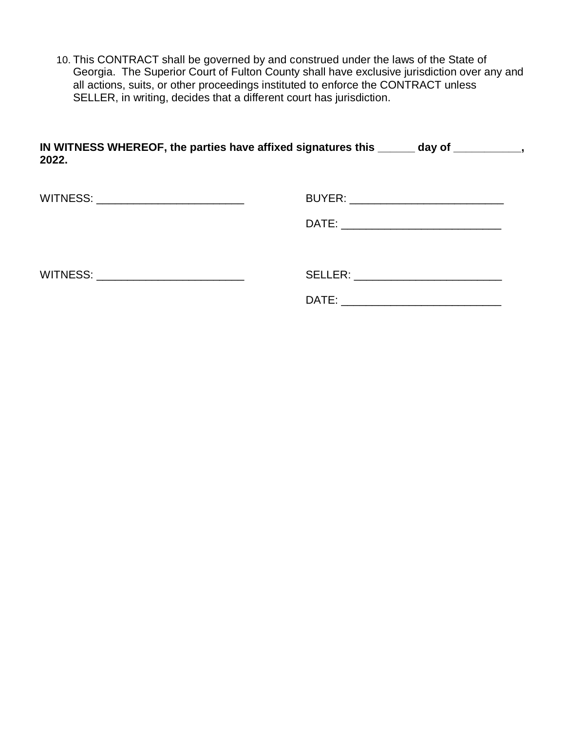10. This CONTRACT shall be governed by and construed under the laws of the State of Georgia. The Superior Court of Fulton County shall have exclusive jurisdiction over any and all actions, suits, or other proceedings instituted to enforce the CONTRACT unless SELLER, in writing, decides that a different court has jurisdiction.

| IN WITNESS WHEREOF, the parties have affixed signatures this | dav of |
|--------------------------------------------------------------|--------|
| 2022.                                                        |        |
|                                                              |        |

| WITNESS: _______________________________ | BUYER: __________________________________ |
|------------------------------------------|-------------------------------------------|
|                                          |                                           |
| WITNESS: ______________________________  | SELLER: _____________________________     |
|                                          | DATE:                                     |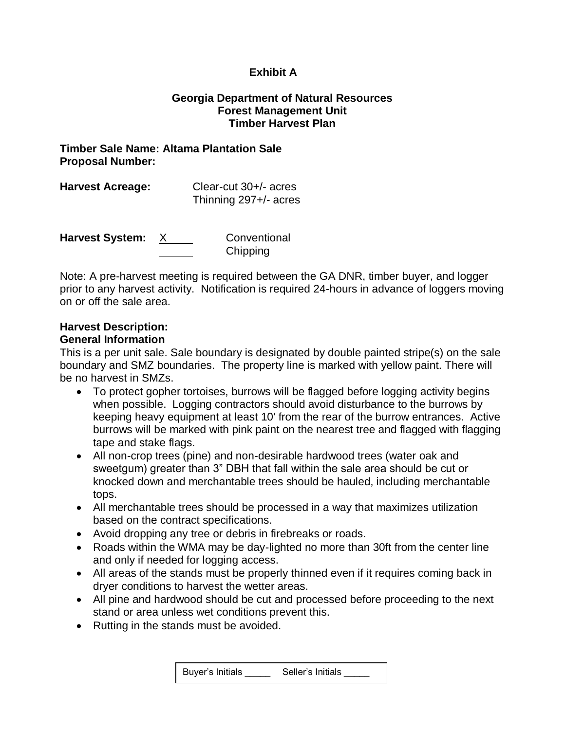#### **Exhibit A**

#### **Georgia Department of Natural Resources Forest Management Unit Timber Harvest Plan**

#### **Timber Sale Name: Altama Plantation Sale Proposal Number:**

| <b>Harvest Acreage:</b> | Clear-cut 30+/- acres |  |  |  |
|-------------------------|-----------------------|--|--|--|
|                         | Thinning 297+/- acres |  |  |  |

| <b>Harvest System:</b> | Conventional |  |  |
|------------------------|--------------|--|--|
|                        | Chipping     |  |  |

Note: A pre-harvest meeting is required between the GA DNR, timber buyer, and logger prior to any harvest activity. Notification is required 24-hours in advance of loggers moving on or off the sale area.

# **Harvest Description:**

## **General Information**

This is a per unit sale. Sale boundary is designated by double painted stripe(s) on the sale boundary and SMZ boundaries. The property line is marked with yellow paint. There will be no harvest in SMZs.

- To protect gopher tortoises, burrows will be flagged before logging activity begins when possible. Logging contractors should avoid disturbance to the burrows by keeping heavy equipment at least 10' from the rear of the burrow entrances. Active burrows will be marked with pink paint on the nearest tree and flagged with flagging tape and stake flags.
- All non-crop trees (pine) and non-desirable hardwood trees (water oak and sweetgum) greater than 3" DBH that fall within the sale area should be cut or knocked down and merchantable trees should be hauled, including merchantable tops.
- All merchantable trees should be processed in a way that maximizes utilization based on the contract specifications.
- Avoid dropping any tree or debris in firebreaks or roads.
- Roads within the WMA may be day-lighted no more than 30ft from the center line and only if needed for logging access.
- All areas of the stands must be properly thinned even if it requires coming back in dryer conditions to harvest the wetter areas.
- All pine and hardwood should be cut and processed before proceeding to the next stand or area unless wet conditions prevent this.
- Rutting in the stands must be avoided.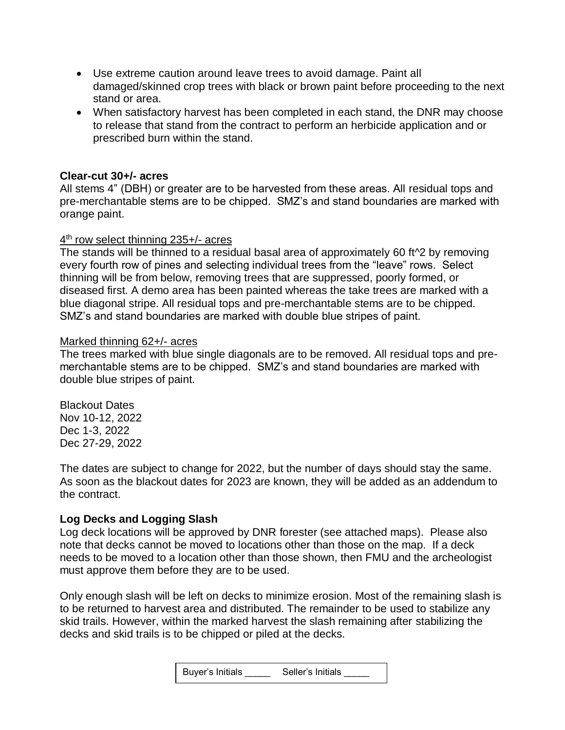- Use extreme caution around leave trees to avoid damage. Paint all damaged/skinned crop trees with black or brown paint before proceeding to the next stand or area.
- When satisfactory harvest has been completed in each stand, the DNR may choose to release that stand from the contract to perform an herbicide application and or prescribed burn within the stand.

#### **Clear-cut 30+/- acres**

All stems 4" (DBH) or greater are to be harvested from these areas. All residual tops and pre-merchantable stems are to be chipped. SMZ's and stand boundaries are marked with orange paint.

#### 4<sup>th</sup> row select thinning 235+/- acres

The stands will be thinned to a residual basal area of approximately 60 ft^2 by removing every fourth row of pines and selecting individual trees from the "leave" rows. Select thinning will be from below, removing trees that are suppressed, poorly formed, or diseased first. A demo area has been painted whereas the take trees are marked with a blue diagonal stripe. All residual tops and pre-merchantable stems are to be chipped. SMZ's and stand boundaries are marked with double blue stripes of paint.

#### Marked thinning 62+/- acres

The trees marked with blue single diagonals are to be removed. All residual tops and premerchantable stems are to be chipped. SMZ's and stand boundaries are marked with double blue stripes of paint.

Blackout Dates Nov 10-12, 2022 Dec 1-3, 2022 Dec 27-29, 2022

The dates are subject to change for 2022, but the number of days should stay the same. As soon as the blackout dates for 2023 are known, they will be added as an addendum to the contract.

#### **Log Decks and Logging Slash**

Log deck locations will be approved by DNR forester (see attached maps). Please also note that decks cannot be moved to locations other than those on the map. If a deck needs to be moved to a location other than those shown, then FMU and the archeologist must approve them before they are to be used.

Only enough slash will be left on decks to minimize erosion. Most of the remaining slash is to be returned to harvest area and distributed. The remainder to be used to stabilize any skid trails. However, within the marked harvest the slash remaining after stabilizing the decks and skid trails is to be chipped or piled at the decks.

| <b>Buyer's Initials</b> | Seller's Initials |
|-------------------------|-------------------|
|-------------------------|-------------------|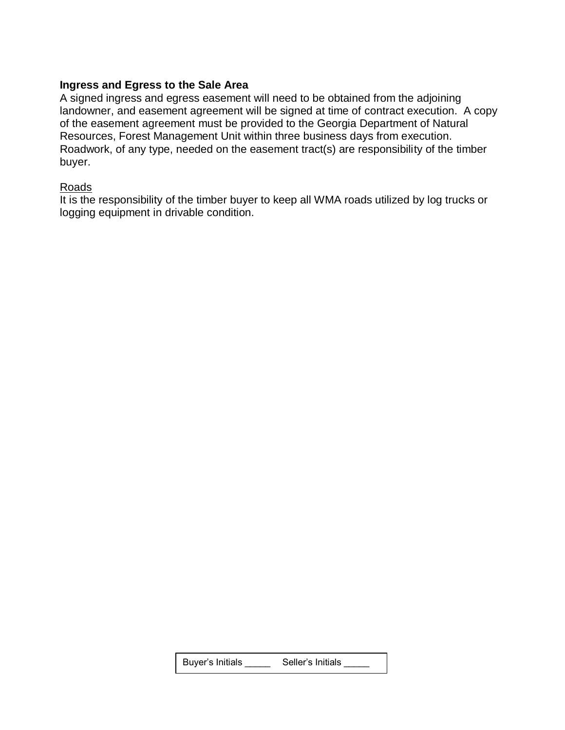#### **Ingress and Egress to the Sale Area**

A signed ingress and egress easement will need to be obtained from the adjoining landowner, and easement agreement will be signed at time of contract execution. A copy of the easement agreement must be provided to the Georgia Department of Natural Resources, Forest Management Unit within three business days from execution. Roadwork, of any type, needed on the easement tract(s) are responsibility of the timber buyer.

#### **Roads**

It is the responsibility of the timber buyer to keep all WMA roads utilized by log trucks or logging equipment in drivable condition.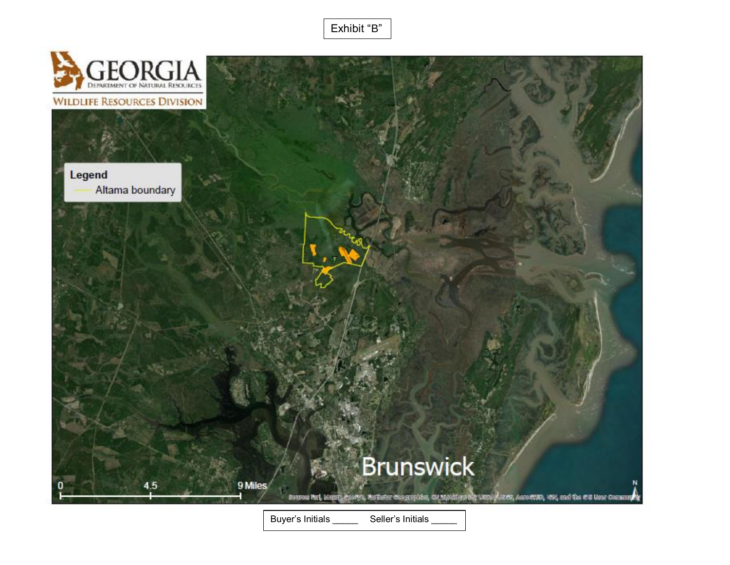Exhibit "B"

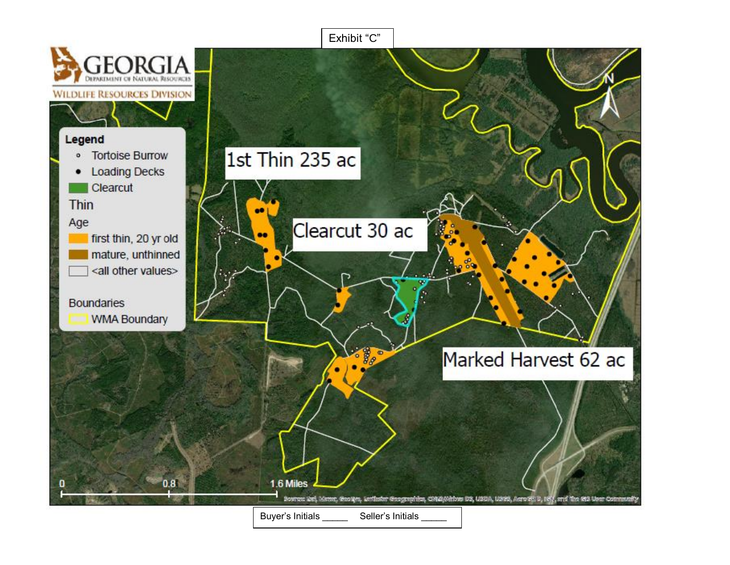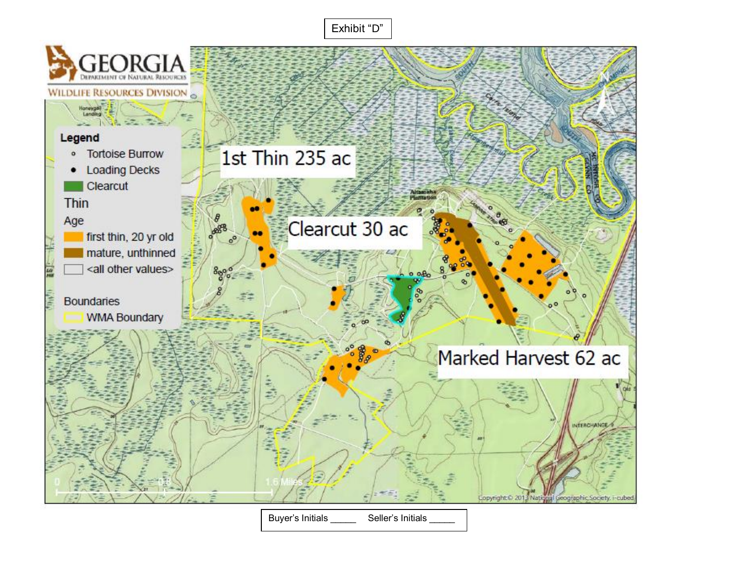Exhibit "D"



Buyer's Initials \_\_\_\_\_\_\_ Seller's Initials